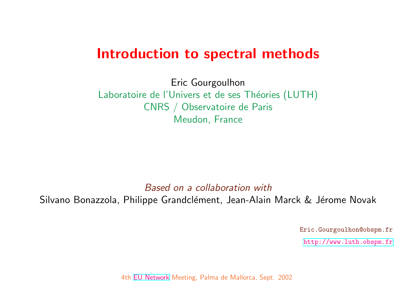# Introduction to spectral metho

Eric Gourgoulhon Laboratoire de l'Univers et de ses Théories (LUT CNRS / Observatoire de Paris Meudon, France

[Based](http://www.eu-network.org/) on a collaboration with Silvano Bonazzola, Philippe Grandclément, Jean-Alain Marck

4th EU Network Meeting, Palma de Mallorca, Sept. 2002

Eric.Gourgoulhon@obspm.fr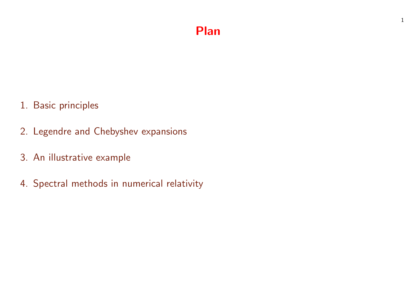## Plan

- 1. Basic principles
- 2. Legendre and Chebyshev expansions
- 3. An illustrative example
- 4. Spectral methods in numerical relativity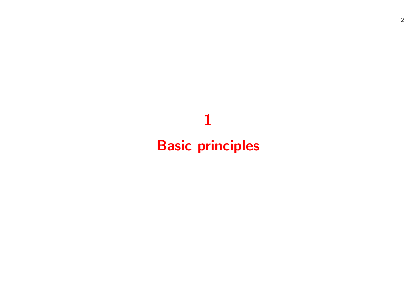# Basic principles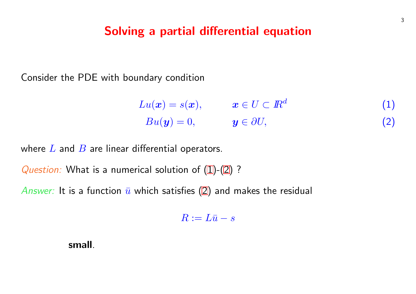### <span id="page-3-0"></span>Solving a partial differential equation

Consider the PDE with boundary condition

| $Lu(\boldsymbol{x})=s(\boldsymbol{x}),$ | $\boldsymbol{x}\in U\subset{I\!\!R}^d$ |
|-----------------------------------------|----------------------------------------|
| $Bu(y) = 0,$                            | $y \in \partial U$ ,                   |

where  $L$  and  $B$  are linear differential operators.

Question: What is a numerical solution of  $(1)-(2)$ ?

Answer: It is a function  $\bar{u}$  which satisfies (2) and makes the residual

$$
R:=L\bar u-s
$$

small.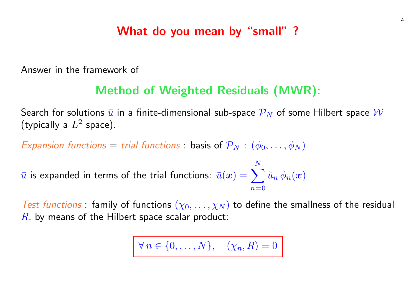## What do you mean by "small" ?

Answer in the framework of

## Method of Weighted Residuals (MWR):

Search for solutions  $\bar{u}$  in a finite-dimensional sub-space  $\mathcal{P}_N$  of some Hilbert space  $\mathcal W$ (typically a  $L^2$  space).

Expansion functions  $=$  trial functions : basis of  $\mathcal{P}_N$  :  $(\phi_0, \ldots, \phi_N)$ 

 $\bar u$  is expanded in terms of the trial functions:  $\bar u(\bm x) = \sum^N \tilde u_n \, \phi_n(\bm x)$ N  $n=0$ 

Test functions : family of functions  $(\chi_0, \ldots, \chi_N)$  to define the smallness of the residual  $R$ , by means of the Hilbert space scalar product:

 $\forall n \in \{0, \ldots, N\}, \quad (\chi_n, R) = 0$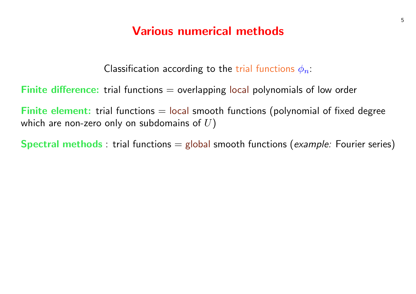## Various numerical methods

Classification according to the trial functions  $\phi_n$ :

Finite difference: trial functions  $=$  overlapping local polynomials of low order

**Finite element:** trial functions  $=$  local smooth functions (polynomial of fixed degree which are non-zero only on subdomains of  $U$ )

**Spectral methods**: trial functions  $=$  global smooth functions (*example:* Fourier series)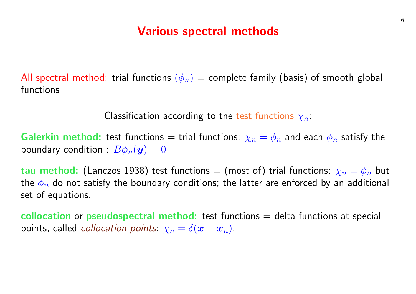## Various spectral methods

All spectral method: trial functions  $(\phi_n)$  = complete family (basis) of smooth global functions

Classification according to the test functions  $\chi_n$ :

**Galerkin method:** test functions = trial functions:  $\chi_n = \phi_n$  and each  $\phi_n$  satisfy the boundary condition :  $B\phi_n(\boldsymbol{y})=0$ 

tau method: (Lanczos 1938) test functions = (most of) trial functions:  $\chi_n = \phi_n$  but the  $\phi_n$  do not satisfy the boundary conditions; the latter are enforced by an additional set of equations.

collocation or pseudospectral method: test functions  $=$  delta functions at special points, called *collocation points*:  $\chi_n = \delta(x - x_n)$ .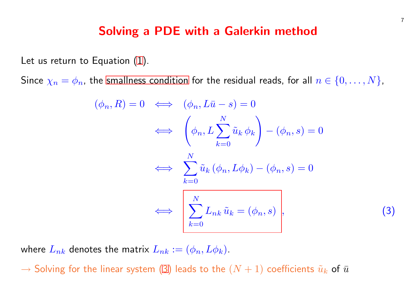### Solving a PDE with a Galerkin meth

Let us return to Equation (1).

Since  $\chi_n = \phi_n$ , the smallness condition for the residual reads, for

$$
(\phi_n, R) = 0 \iff (\phi_n, L\bar{u} - s) = 0
$$

$$
\iff \left(\phi_n, L\sum_{k=0}^N \tilde{u}_k \phi_k\right) - (\phi_n, s)
$$

$$
\iff \sum_{k=0}^N \tilde{u}_k (\phi_n, L\phi_k) - (\phi_n, s) =
$$

$$
\iff \left(\sum_{k=0}^N L_{nk} \tilde{u}_k = (\phi_n, s)\right),
$$

where  $L_{nk}$  denotes the matrix  $L_{nk} := (\phi_n, L\phi_k)$ .

 $\rightarrow$  Solving for the linear system (3) leads to the  $(N + 1)$  coefficie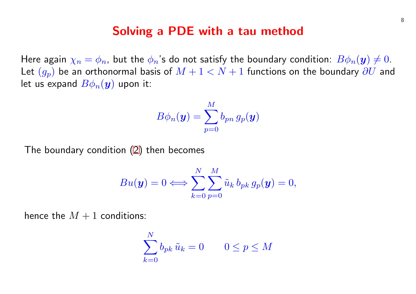#### Solving a PDE with a tau method

Here again  $\chi_n = \phi_n$ , but [th](#page-3-0)e  $\phi_n$ 's do not satisfy the boundary con Let  $(g_p)$  be an orthonormal basis of  $M + 1 < N + 1$  functions on let us expand  $B\phi_n(\bm{y})$  upon it:

$$
B\phi_n(\boldsymbol{y})=\sum_{p=0}^M b_{pn}\,g_p(\boldsymbol{y})
$$

The boundary condition (2) then becomes

$$
Bu(\boldsymbol{y}) = 0 \Longleftrightarrow \sum_{k=0}^{N} \sum_{p=0}^{M} \tilde{u}_k \, b_{pk} \, g_p(\boldsymbol{y}) = 0,
$$

hence the  $M + 1$  conditions:

$$
\sum_{k=0}^{N} b_{pk} \, \tilde{u}_k = 0 \qquad 0 \le p \le M
$$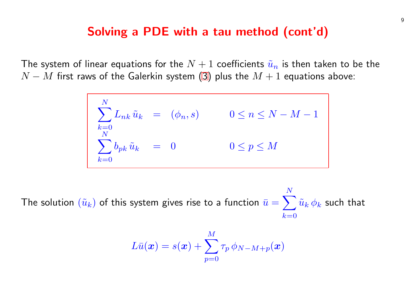### Solving a PDE with a tau method (cont

The system of linear equations for the  $N + 1$  coefficients  $\tilde u_n$  is the  $N - M$  first raws of the Galerkin system (3) plus the  $M + 1$  equations.

$$
\begin{cases}\n\sum_{k=0}^{N} L_{nk} \tilde{u}_k &= (\phi_n, s) & 0 \le n \le N - M \\
\sum_{k=0}^{N} b_{pk} \tilde{u}_k &= 0 & 0 \le p \le M\n\end{cases}
$$

The solution  $(\tilde{u}_k)$  of this system gives rise to a function  $\bar{u}=$ X N  $k=0$  $\hat{v}$ 

$$
L\bar{u}(\bm{x}) = s(\bm{x}) + \sum_{p=0}^M \tau_p \, \phi_{N-M+p}(\bm{x})
$$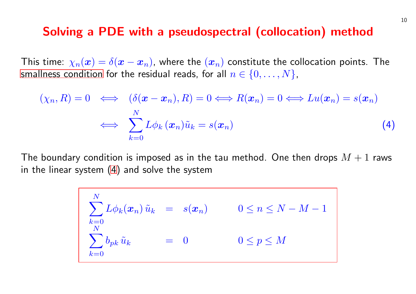#### Solving a PDE with a pseudospectral (collocat

This time:  $\chi_n(\boldsymbol{x}) = \delta(\boldsymbol{x} - \boldsymbol{x}_n)$ , where the  $(\boldsymbol{x}_n)$  constitute the col smallness condition for the residual reads, for all  $n \in \{0, \ldots, N\}$ ,

$$
(\chi_n, R) = 0 \iff (\delta(\boldsymbol{x} - \boldsymbol{x}_n), R) = 0 \iff R(\boldsymbol{x}_n) = 0 \iff
$$

$$
\iff \sum_{k=0}^{N} L\phi_k(\boldsymbol{x}_n)\tilde{u}_k = s(\boldsymbol{x}_n)
$$

The boundary condition is imposed as in the tau method. One the in the linear system (4) and solve the system

$$
\begin{cases}\n\sum_{k=0}^{N} L\phi_k(\boldsymbol{x}_n) \tilde{u}_k &= s(\boldsymbol{x}_n) & 0 \leq n \leq N - N \\
\sum_{k=0}^{N} b_{pk} \tilde{u}_k &= 0 & 0 \leq p \leq M\n\end{cases}
$$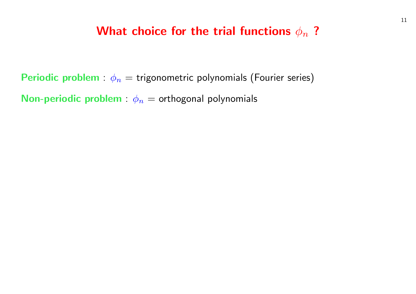## What choice for the trial functions  $\phi_n$ ?

Periodic problem :  $\phi_n =$  trigonometric polynomials (Fourier series) **Non-periodic problem** :  $\phi_n$  = orthogonal polynomials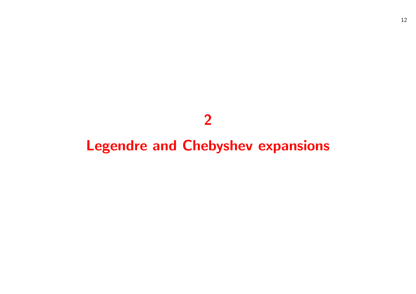# 

# Legendre and Chebyshev expansions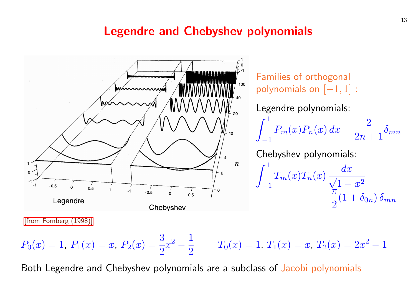## Legendre and Chebyshev polynomia



[from Fornberg (1998)]

$$
P_0(x) = 1
$$
,  $P_1(x) = x$ ,  $P_2(x) = \frac{3}{2}x^2 - \frac{1}{2}$   $T_0(x) = 1$ ,  $T_1(x) =$ 

Both Legendre and Chebyshev polynomials are a subclass of Jacol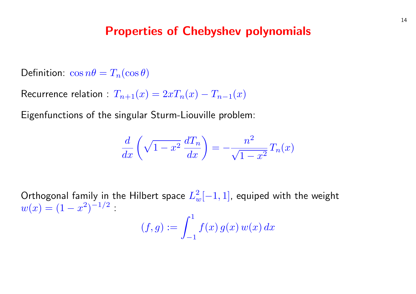#### Properties of Chebyshev polynomials

Definition:  $\cos n\theta = T_n(\cos \theta)$ 

Recurrence relation :  $T_{n+1}(x) = 2xT_n(x) - T_{n-1}(x)$ 

Eigenfunctions of the singular Sturm-Liouville problem:

$$
\frac{d}{dx}\left(\sqrt{1-x^2}\,\frac{dT_n}{dx}\right) = -\frac{n^2}{\sqrt{1-x^2}}\,T_n(x)
$$

Orthogonal family in the Hilbert space  $L^2_w[-1,1]$ , equiped with the weight  $w(x) = (1 - x^2)^{-1/2}$ .  $(f, g) := \int_0^1$ −1  $f(x) g(x) w(x) dx$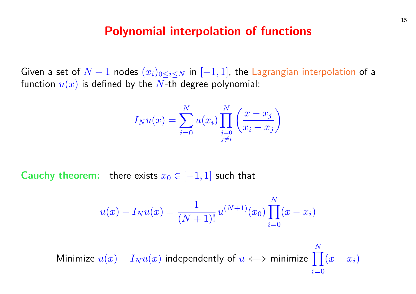#### Polynomial interpolation of functions

Given a set of  $N+1$  nodes  $(x_i)_{0\leq i\leq N}$  in  $[-1,1]$ , the Lagrangian interpolation of a function  $u(x)$  is defined by the N-th degree polynomial:

$$
I_N u(x) = \sum_{i=0}^N u(x_i) \prod_{\substack{j=0 \ j \neq i}}^N \left( \frac{x - x_j}{x_i - x_j} \right)
$$

**Cauchy theorem:** there exists  $x_0 \in [-1, 1]$  such that

$$
u(x) - I_N u(x) = \frac{1}{(N+1)!} u^{(N+1)}(x_0) \prod_{i=0}^{N} (x - x_i)
$$

Minimize  $u(x) - I_N u(x)$  independently of  $u \Longleftrightarrow$  minimize  $\prod^N (x - x_i)$ N  $i=0$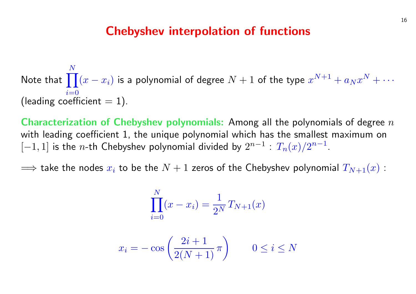#### Chebyshev interpolation of functions

Note that  $\prod^N(x-x_i)$  is a polynomial of degree  $N+1$  of the type  $x^{N+1}+a_Nx^N+\cdots$ N  $i=0$ (leading coefficient  $= 1$ ).

**Characterization of Chebyshev polynomials:** Among all the polynomials of degree  $n$ with leading coefficient 1, the unique polynomial which has the smallest maximum on  $[-1,1]$  is the n-th Chebyshev polynomial divided by  $2^{n-1}$  :  $T_n(x)/2^{n-1}$  .

⇒ take the nodes  $x_i$  to be the  $N + 1$  zeros of the Chebyshev polynomial  $T_{N+1}(x)$  :

**N** T

$$
\prod_{i=0}^{N} (x - x_i) = \frac{1}{2^N} T_{N+1}(x)
$$

$$
x_i = -\cos\left(\frac{2i+1}{2(N+1)}\pi\right) \qquad 0 \le i \le N
$$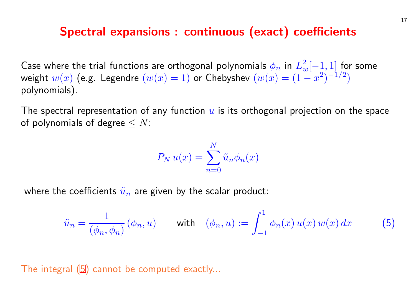#### Spectral expansions : continuous (exact) co

Case where the trial functions are orthogonal polynomials  $\phi_n$  in  $L$ weight  $w(x)$  (e.g. Legendre  $(w(x) = 1)$  or Chebyshev  $(w(x) = 1)$ polynomials).

The spectral representation of any function  $u$  is its orthogonal pro of polynomials of degree  $\leq N$ :

$$
P_N u(x) = \sum_{n=0}^{N} \tilde{u}_n \phi_n(x)
$$

where the coefficients  $\tilde{u}_n$  are given by the scalar product:

$$
\tilde{u}_n = \frac{1}{(\phi_n, \phi_n)} (\phi_n, u) \qquad \text{with} \quad (\phi_n, u) := \int_{-1}^1 \phi_n(x) u
$$

The integral (5) cannot be computed exactly...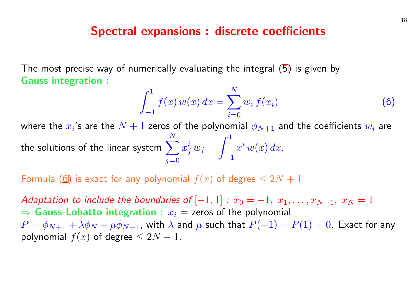#### Spectral expansions : discrete coeffici

The most precise way of numerically evaluating the integral  $(5)$  is Gauss integration :

$$
\int_{-1}^{1} f(x) w(x) dx = \sum_{i=0}^{N} w_i f(x_i)
$$

where the  $x_i$ 's are the  $N+1$  zeros of the polynomial  $\phi_{N+1}$  and tl the solutions of the linear system  $\sum_{n=0}^{N}$  $j=0$  $x^{\boldsymbol{i}}_j\,w_j =$  $\frac{1}{\rho}$ −1  $x^i\,w(x)\,dx$  .

Formula (6) is exact for any polynomial  $f(x)$  of degree  $\leq 2N+1$ 

Adaptation to include the boundaries of  $[-1, 1]$  :  $x_0 = -1, x_1, \ldots$  $\Rightarrow$  Gauss-Lobatto integration :  $x_i =$  zeros of the polynomial  $P = \phi_{N+1} + \lambda \phi_N + \mu \phi_{N-1}$ , with  $\lambda$  and  $\mu$  such that  $P(-1) = P(1)$ polynomial  $f(x)$  of degree  $\leq 2N-1$ .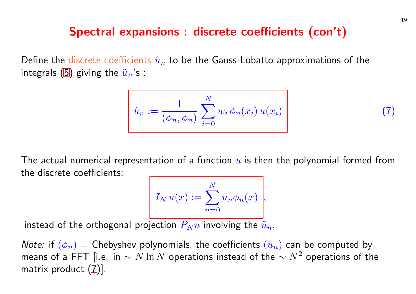#### <span id="page-19-0"></span>Spectral expansions : discrete coefficients

Define the discrete coefficients  $\hat{u}_n$  to be the Gauss-Lobatto approx integrals (5) giving the  $\tilde{u}_n$ 's :

$$
\hat{u}_n := \frac{1}{(\phi_n, \phi_n)} \sum_{i=0}^N w_i \phi_n(x_i) u(x_i)
$$

The actual numerical representation of a function  $u$  is then the po the discrete coefficients:

$$
I_N u(x) := \sum_{n=0}^N \hat{u}_n \phi_n(x) \Bigg|,
$$

instead of the orthogonal projection  $P_Nu$  involving the  $\tilde{u}_n$ .

*Note:* if  $(\phi_n)$  = Chebyshev polynomials, the coefficients  $(\hat{u}_n)$  can means of a FFT [i.e. in  $\sim N \ln N$  operations instead of the  $\sim N^2$ matrix product (7)].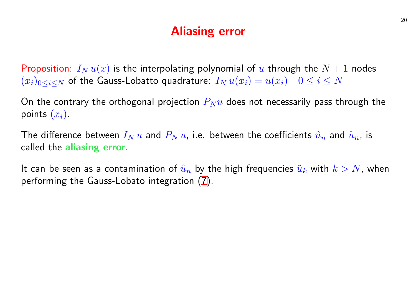## Aliasing error

Proposition:  $I_N u(x)$  is the interpolating polynomial of u through  $(x_i)_{0\leq i\leq N}$  of the Gauss-Lobatto quadratu[re](#page-19-0):  $I_N u(x_i) = u(x_i)$  0

On the contrary the orthogonal projection  $P_Nu$  does not necessarily points  $(x_i)$ .

The difference between  $I_N u$  and  $P_N u$ , i.e. between the coefficients called the aliasing error.

It can be seen as a contamination of  $\hat{u}_n$  by the high frequencies  $\tilde{u}$ performing the Gauss-Lobato integration (7).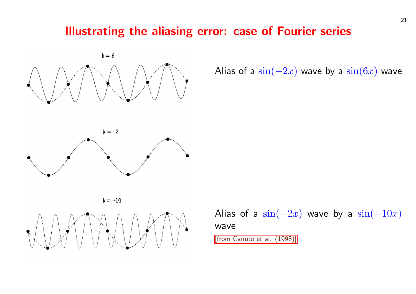## Illustrating the aliasing error: case of Four



Alias of a  $\sin(-2x)$ 



 $k = -10$ 



Alias of a  $\sin(-2x)$ wave [from Canuto et al. (1998)]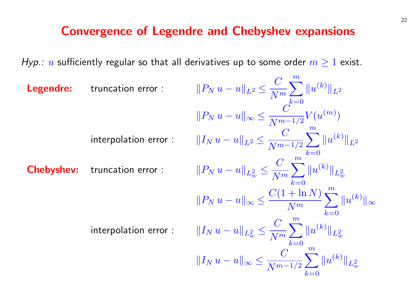### Convergence of Legendre and Chebyshev expansions

Hyp.: u sufficiently regular so that all derivatives up to some order  $m \ge 1$  exist.

| Legendre:                                                                                   | truncation error :                                                                  | \n $  P_N u - u  _{L^2} \leq \frac{C}{N^m} \sum_{k=0}^m   u^{(k)}  _{L^2}$ \n $  P_N u - u  _{\infty} \leq \frac{C}{N^{m-1/2}} V(u^{(m)})$ \n |
|---------------------------------------------------------------------------------------------|-------------------------------------------------------------------------------------|-----------------------------------------------------------------------------------------------------------------------------------------------|
| interpolation error :                                                                       | \n $  I_N u - u  _{L^2} \leq \frac{C}{N^{m-1/2}} \sum_{k=0}^m   u^{(k)}  _{L^2}$ \n |                                                                                                                                               |
| Chebyshev:                                                                                  | truncation error :                                                                  | \n $  P_N u - u  _{L^2_w} \leq \frac{C}{N^m} \sum_{k=0}^m   u^{(k)}  _{L^2_w}$ \n                                                             |
| $  P_N u - u  _{\infty} \leq \frac{C(1 + \ln N)}{N^m} \sum_{k=0}^m   u^{(k)}  _{\infty}$ \n |                                                                                     |                                                                                                                                               |
| interpolation error :                                                                       | \n $  I_N u - u  _{L^2_w} \leq \frac{C}{N^m} \sum_{k=0}^m   u^{(k)}  _{L^2_w}$ \n   |                                                                                                                                               |
| $  I_N u - u  _{\infty} \leq \frac{C}{N^{m-1/2}} \sum_{k=0}^m   u^{(k)}  _{L^2_w}$ \n       |                                                                                     |                                                                                                                                               |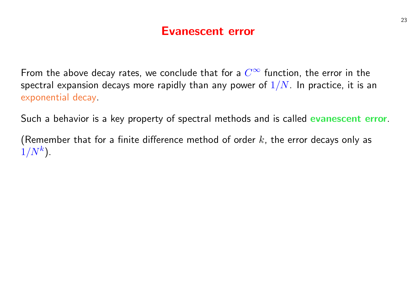## Evanescent error

From the above decay rates, we conclude that for a  $C^\infty$  function, the error in the spectral expansion decays more rapidly than any power of  $1/N$ . In practice, it is an exponential decay.

Such a behavior is a key property of spectral methods and is called evanescent error.

(Remember that for a finite difference method of order  $k$ , the error decays only as  $1/N^k$ ).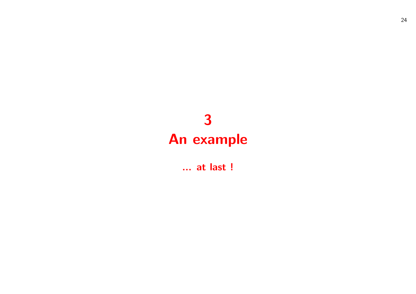# 3 An example

... at last !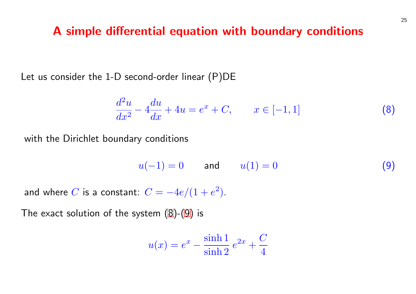#### A simple differential equation with boundary

Let us consider the 1-D second-order linear (P)DE

$$
\frac{d^2u}{dx^2} - 4\frac{du}{dx} + 4u = e^x + C, \qquad x \in [-1, 1]
$$

with the Dirichlet boundary conditions

$$
u(-1) = 0 \qquad \text{and} \qquad u(1) = 0
$$

and where  $C$  is a constant:  $C = -4e/(1+e^2)$ .

The exact solution of the system  $(8)-(9)$  is

$$
u(x) = e^x - \frac{\sinh 1}{\sinh 2} e^{2x} + \frac{C}{4}
$$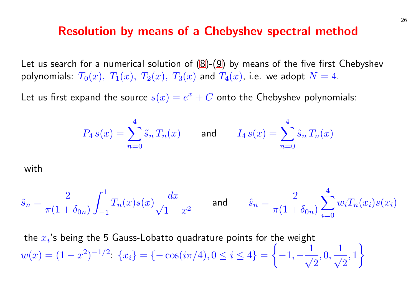#### Resolution by means of a Chebyshev spectral

Let us search for a numerical solution of  $(8)-(9)$  by means of the first polynomials:  $T_0(x)$ ,  $T_1(x)$ ,  $T_2(x)$ ,  $T_3(x)$  and  $T_4(x)$ , i.e. we adopt

Let us first expand the source  $s(x) = e^x + C$  onto the Chebyshev

$$
P_4 s(x) = \sum_{n=0}^{4} \tilde{s}_n T_n(x)
$$
 and  $I_4 s(x) = \sum_{n=0}^{4} \hat{s}_n$ 

with

$$
\tilde{s}_n = \frac{2}{\pi (1 + \delta_{0n})} \int_{-1}^1 T_n(x) s(x) \frac{dx}{\sqrt{1 - x^2}} \quad \text{and} \quad \hat{s}_n = \frac{2}{\pi (1 + \delta_{0n})}
$$

the  $x_i$ 's being the 5 Gauss-Lobatto quadrature points for the weig  $w(x) = (1-x^2)^{-1/2}$   $\{x_i\} = \{-\cos(i\pi/4), 0 \le i \le 4\} = \{-1, -1\}$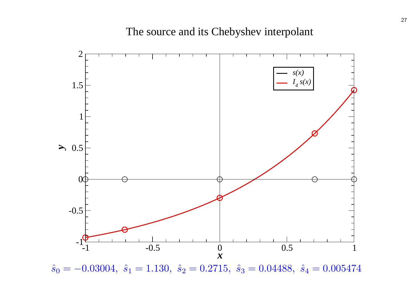

 $\hat{s}_0 = -0.03004, \ \hat{s}_1 = 1.130, \ \hat{s}_2 = 0.2715, \ \hat{s}_3 = 0.04488, \ \hat{s}_4 = 0.005474$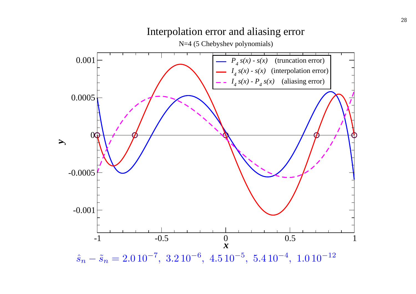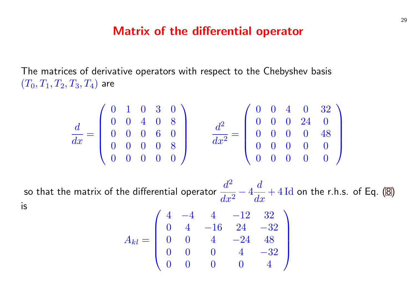#### Matrix of the differential operator

The matrices of derivative operators with respect to the Chebyshe  $(T_0, T_1, T_2, T_3, T_4)$  are

$$
\frac{d}{dx} = \begin{pmatrix} 0 & 1 & 0 & 3 & 0 \\ 0 & 0 & 4 & 0 & 8 \\ 0 & 0 & 0 & 6 & 0 \\ 0 & 0 & 0 & 0 & 8 \\ 0 & 0 & 0 & 0 & 0 \end{pmatrix} \qquad \frac{d^2}{dx^2} = \begin{pmatrix} 0 & 0 & 4 \\ 0 & 0 & 0 & 2 \\ 0 & 0 & 0 & 0 \\ 0 & 0 & 0 & 0 \\ 0 & 0 & 0 & 0 \end{pmatrix}
$$

so that the matrix of the differential operator  $\frac{d^2}{dt^2}$  $dx^2$  $-4$  $\overline{d}$  $\frac{a}{dx} + 4 \operatorname{Id}$  o is  $\overline{a}$  $\mathbf{r}$ 

$$
A_{kl}=\left(\begin{array}{cccccc} 4 & -4 & 4 & -12 & 32 \\ 0 & 4 & -16 & 24 & -32 \\ 0 & 0 & 4 & -24 & 48 \\ 0 & 0 & 0 & 4 & -32 \\ 0 & 0 & 0 & 0 & 4 \end{array}\right)
$$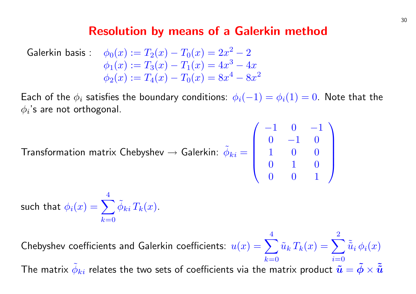#### Resolution by means of a Galerkin method

$$
\begin{array}{ll}\n\text{Galerkin basis:} & \phi_0(x) := T_2(x) - T_0(x) = 2x^2 - 2 \\
& \phi_1(x) := T_3(x) - T_1(x) = 4x^3 - 4x \\
& \phi_2(x) := T_4(x) - T_0(x) = 8x^4 - 8x^2\n\end{array}
$$

Each of the  $\phi_i$  satisfies the boundary conditions:  $\phi_i(-1) = \phi_i(1) = 0$ . Note that the  $\phi_i$ 's are not orthogonal.  $\overline{a}$  $\mathbf{r}$ 

Transformation matrix Chebyshev  $\rightarrow$  Galerkin:  $\tilde{\phi}_{ki} =$ 

$$
_{i}=\left( \begin{array}{cccc} -1 & 0 & -1 \\ 0 & -1 & 0 \\ 1 & 0 & 0 \\ 0 & 1 & 0 \\ 0 & 0 & 1 \end{array} \right)
$$

such that  $\phi_i(x) = \sum^{4}$  $k=0$  $\tilde{\phi}_{ki} \, T_k(x)$  .

Chebyshev coefficients and Galerkin coefficients:  $u(x) = \sum_{n=1}^{4} \frac{1}{n^2}$  $k=0$  $\tilde{u}_k\,T_k(x) = \sum^2$  $i=0$  $\tilde{\tilde{u}}_i\,\phi_i(x)$ The matrix  $\tilde{\phi}_{ki}$  relates the two sets of coefficients via the matrix product  $\tilde{\bm{u}}=\tilde{\bm{\phi}}\times \tilde{\bm{\tilde{u}}}$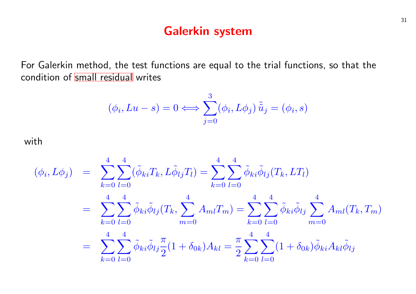## Galerkin system

<span id="page-31-0"></span>For Galerkin method, the test functions are equal to the trial func condition of small residual writes

$$
(\phi_i, Lu - s) = 0 \Longleftrightarrow \sum_{j=0}^3 (\phi_i, L\phi_j) \tilde{\tilde{u}}_j = (\phi_i, s)
$$

with

$$
(\phi_i, L\phi_j) = \sum_{k=0}^4 \sum_{l=0}^4 (\tilde{\phi}_{ki} T_k, L\tilde{\phi}_{lj} T_l) = \sum_{k=0}^4 \sum_{l=0}^4 \tilde{\phi}_{ki} \tilde{\phi}_{lj} (T_k, LT)
$$
  

$$
= \sum_{k=0}^4 \sum_{l=0}^4 \tilde{\phi}_{ki} \tilde{\phi}_{lj} (T_k, \sum_{m=0}^4 A_{ml} T_m) = \sum_{k=0}^4 \sum_{l=0}^4 \tilde{\phi}_{ki} \tilde{\phi}_{li}
$$
  

$$
= \sum_{k=0}^4 \sum_{l=0}^4 \tilde{\phi}_{ki} \tilde{\phi}_{lj} \frac{\pi}{2} (1 + \delta_{0k}) A_{kl} = \frac{\pi}{2} \sum_{k=0}^4 \sum_{l=0}^4 (1 + \delta_{0k}) A_{kl}
$$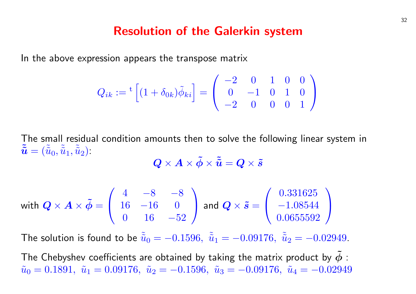#### Resolution of the Galerkin system

In the above expression appears the transpose matrix

$$
Q_{ik} := {}^{t} \left[ (1 + \delta_{0k}) \tilde{\phi}_{ki} \right] = \begin{pmatrix} -2 & 0 & 1 & 0 & 0 \\ 0 & -1 & 0 & 1 & 0 \\ -2 & 0 & 0 & 0 & 1 \end{pmatrix}
$$

The small residual condition amounts then to solve the following linear system in  $\tilde{\tilde{\bm{u}}} = (\tilde{\tilde{u}}_0, \tilde{\tilde{u}}_1, \tilde{\tilde{u}}_2).$ 

$$
\bm{Q}\times\bm{A}\times\bm{\tilde{\phi}}\times\bm{\tilde{\tilde{u}}}=\bm{Q}\times\bm{\tilde{s}}
$$

with 
$$
Q \times A \times \tilde{\phi} = \begin{pmatrix} 4 & -8 & -8 \\ 16 & -16 & 0 \\ 0 & 16 & -52 \end{pmatrix}
$$
 and  $Q \times \tilde{s} = \begin{pmatrix} 0.331625 \\ -1.08544 \\ 0.0655592 \end{pmatrix}$ 

The solution is found to be  $\tilde{u}_0 = -0.1596$ ,  $\tilde{u}_1 = -0.09176$ ,  $\tilde{u}_2 = -0.02949$ .

The Chebyshev coefficients are obtained by taking the matrix product by  $\tilde{\phi}$  :  $\tilde{u}_0 = 0.1891, \tilde{u}_1 = 0.09176, \tilde{u}_2 = -0.1596, \tilde{u}_3 = -0.09176, \tilde{u}_4 = -0.02949$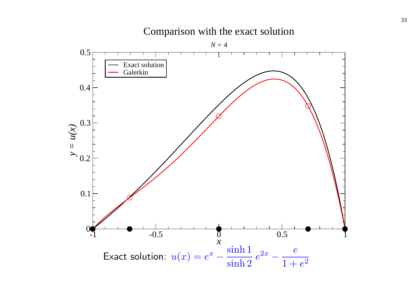

Comparison with the exact solution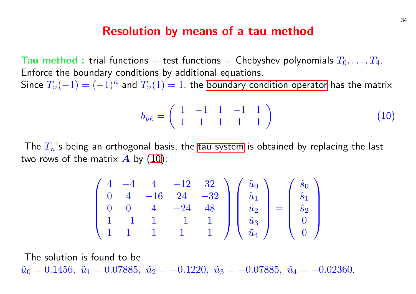#### Resolution by means of a tau method

Tau method : trial functions  $=$  test functions  $=$  Chebyshev poly Enforce the boundary conditions by additional equations. Since  $T_n(-1) = (-1)^n$  and  $T_n(1) = 1$ , the boundary condition op

$$
b_{pk} = \left(\begin{array}{rrrr} 1 & -1 & 1 & -1 & 1 \\ 1 & 1 & 1 & 1 & 1 \end{array}\right)
$$

The  $T_n$ 's being an orthogonal basis, the tau system is obtained b two rows of the matrix  $\boldsymbol{A}$  by (10):

$$
\begin{pmatrix} 4 & -4 & 4 & -12 & 32 \ 0 & 4 & -16 & 24 & -32 \ 0 & 0 & 4 & -24 & 48 \ 1 & -1 & 1 & -1 & 1 \ 1 & 1 & 1 & 1 & 1 \end{pmatrix} \begin{pmatrix} \tilde{u}_0 \\ \tilde{u}_1 \\ \tilde{u}_2 \\ \tilde{u}_3 \\ \tilde{u}_4 \end{pmatrix} = \begin{pmatrix} \tilde{s} \\ \tilde{s} \\ \tilde{s} \\ \tilde{u}_4 \end{pmatrix}
$$

The solution is found to be  $\tilde{u}_0 = 0.1456, \ \tilde{u}_1 = 0.07885, \ \tilde{u}_2 = -0.1220, \ \tilde{u}_3 = -0.07885, \ \tilde{u}_4 = 0.01288, \ \tilde{u}_5 = 0.01288, \ \tilde{u}_6 = 0.01288, \ \tilde{u}_7 = 0.01288, \ \tilde{u}_8 = 0.01288, \ \tilde{u}_9 = 0.01288, \ \tilde{u}_1 = 0.01288, \ \tilde{u}_1 = 0.01288, \ \tilde{u}_$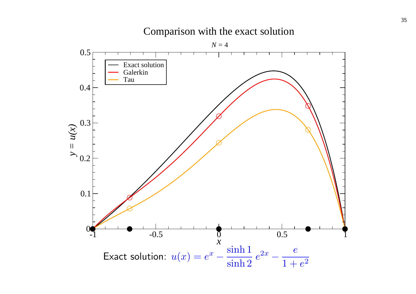

Comparison with the exact solution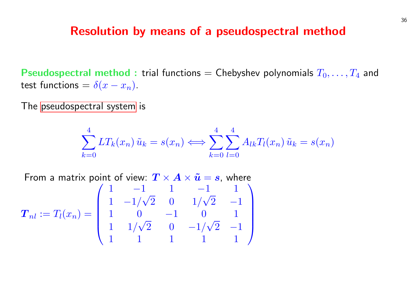#### Resolution by means of a pseudospectral

Pseudospectral method : trial functions  $=$  Chebyshev polynomi test functions =  $\delta(x - x_n)$ .

The pseudospectral system is

$$
\sum_{k=0}^{4} LT_k(x_n) \tilde{u}_k = s(x_n) \Longleftrightarrow \sum_{k=0}^{4} \sum_{l=0}^{4} A_{lk} T_l(x_n) \tilde{u}_k =
$$

From a matrix point of view:  $\boldsymbol{T} \times \boldsymbol{A} \times \boldsymbol{\tilde{u}} = \boldsymbol{s}$ , where  $\boldsymbol{T}_{nl} := T_l(x_n) =$  $\begin{array}{c} \hline \end{array}$ 1 −1 1 −1 1  $1 -1/$  $^{\perp}$  $\begin{matrix} 2 & 0 & 1 \end{matrix}$ √  $\begin{bmatrix} 2 & -1 \end{bmatrix}$ 1 0 −1 0 1  $1 \frac{1}{\sqrt{2}}$  $^{\mathsf{U}}$  ,  $\begin{matrix} 2 & 0 & -1 \end{matrix}$ √  $\begin{bmatrix} 2 & -1 \end{bmatrix}$ 1 1 1 1 1 e<br>、  $\begin{array}{c} \hline \end{array}$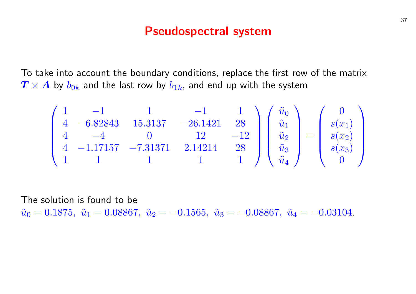#### Pseudospectral system

To take into account the boundary conditions, replace the first row of the matrix  $T \times A$  by  $b_{0k}$  and the last row by  $b_{1k}$ , and end up with the system

$$
\begin{pmatrix}\n1 & -1 & 1 & -1 & 1 \\
4 & -6.82843 & 15.3137 & -26.1421 & 28 \\
4 & -4 & 0 & 12 & -12 \\
4 & -1.17157 & -7.31371 & 2.14214 & 28 \\
1 & 1 & 1 & 1 & 1\n\end{pmatrix}\n\begin{pmatrix}\n\tilde{u}_0 \\
\tilde{u}_1 \\
\tilde{u}_2 \\
\tilde{u}_3 \\
\tilde{u}_4\n\end{pmatrix} = \n\begin{pmatrix}\n0 \\
s(x_1) \\
s(x_2) \\
s(x_3) \\
0\n\end{pmatrix}
$$

The solution is found to be  $\tilde{u}_0 = 0.1875$ ,  $\tilde{u}_1 = 0.08867$ ,  $\tilde{u}_2 = -0.1565$ ,  $\tilde{u}_3 = -0.08867$ ,  $\tilde{u}_4 = -0.03104$ .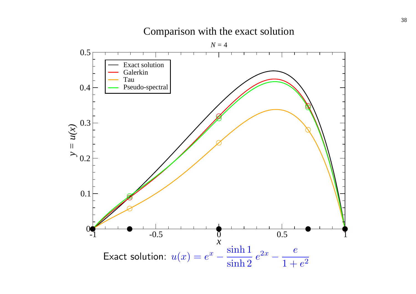#### Comparison with the exact solution

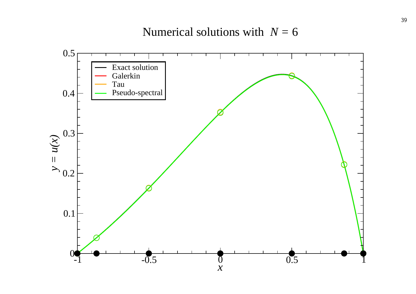Numerical solutions with *N =* 6

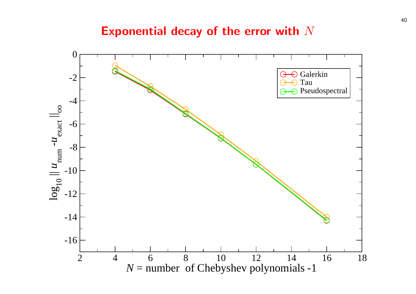#### Exponential decay of the error with  $N$

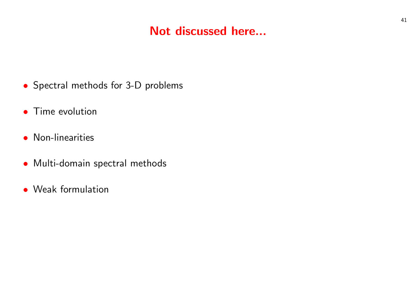## Not discussed here...

- Spectral methods for 3-D problems
- **•** Time evolution
- Non-linearities
- Multi-domain spectral methods
- Weak formulation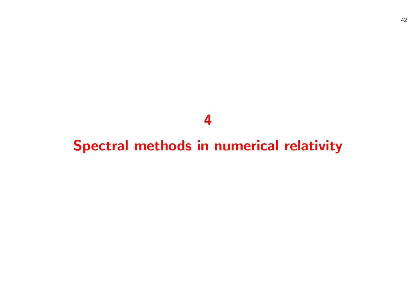# 

# Spectral methods in numerical relativity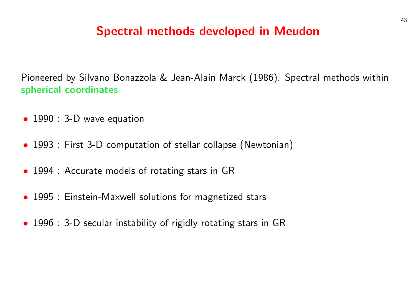## Spectral methods developed in Meudon

Pioneered by Silvano Bonazzola & Jean-Alain Marck (1986). Spectral methods within spherical coordinates

- 1990 : 3-D wave equation
- 1993 : First 3-D computation of stellar collapse (Newtonian)
- 1994 : Accurate models of rotating stars in GR
- 1995 : Einstein-Maxwell solutions for magnetized stars
- 1996 : 3-D secular instability of rigidly rotating stars in GR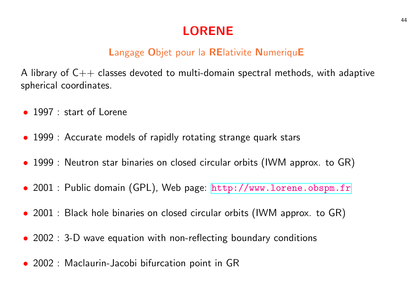## LORENE

## Langage Objet pour la RElativite NumeriquE

A library of  $C++$  classes devoted to multi-domain spectral method spherical coordinates.

- 1997 : start of Lorene
- 1999 : Accurate models of rapidly rotating strange quark stars
- 1999 : Neutron star binaries on closed circular orbits (IWM approx.
- 2001 : Public domain (GPL), Web page: http://www.lorene
- 2001 : Black hole binaries on closed circular orbits (IWM approx.
- $\bullet$  2002 : 3-D wave equation with non-reflecting boundary conditions
- 2002 : Maclaurin-Jacobi bifurcation point in GR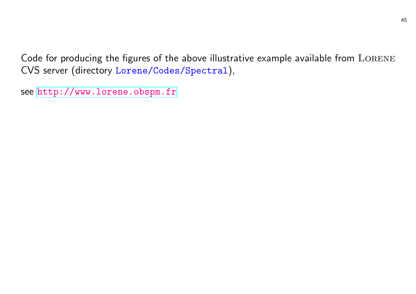Code for producing the figures of the above illustrative example av CVS server (directory Lorene/Codes/Spectral),

see http://www.lorene.obspm.fr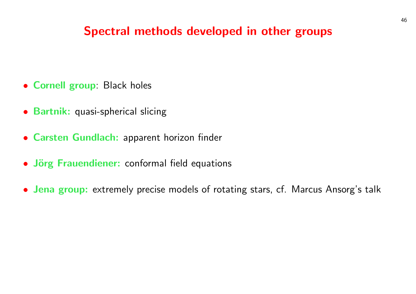## Spectral methods developed in other groups

- Cornell group: Black holes
- Bartnik: quasi-spherical slicing
- Carsten Gundlach: apparent horizon finder
- Jörg Frauendiener: conformal field equations
- Jena group: extremely precise models of rotating stars, cf. Marcus Ansorg's talk